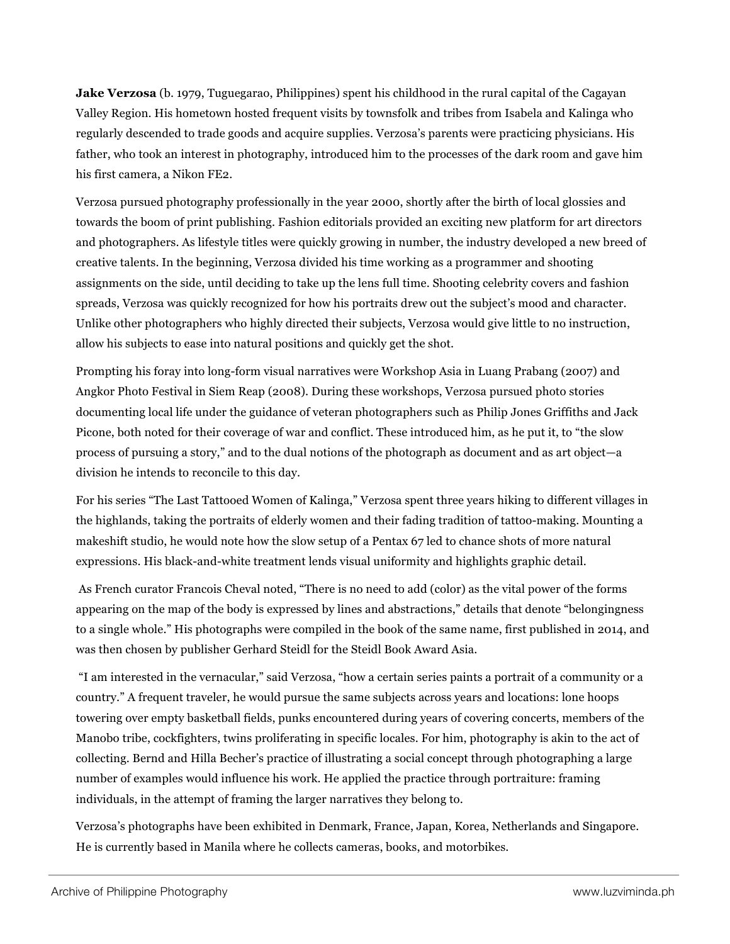**Jake Verzosa** (b. 1979, Tuguegarao, Philippines) spent his childhood in the rural capital of the Cagayan Valley Region. His hometown hosted frequent visits by townsfolk and tribes from Isabela and Kalinga who regularly descended to trade goods and acquire supplies. Verzosa's parents were practicing physicians. His father, who took an interest in photography, introduced him to the processes of the dark room and gave him his first camera, a Nikon FE2.

Verzosa pursued photography professionally in the year 2000, shortly after the birth of local glossies and towards the boom of print publishing. Fashion editorials provided an exciting new platform for art directors and photographers. As lifestyle titles were quickly growing in number, the industry developed a new breed of creative talents. In the beginning, Verzosa divided his time working as a programmer and shooting assignments on the side, until deciding to take up the lens full time. Shooting celebrity covers and fashion spreads, Verzosa was quickly recognized for how his portraits drew out the subject's mood and character. Unlike other photographers who highly directed their subjects, Verzosa would give little to no instruction, allow his subjects to ease into natural positions and quickly get the shot.

Prompting his foray into long-form visual narratives were Workshop Asia in Luang Prabang (2007) and Angkor Photo Festival in Siem Reap (2008). During these workshops, Verzosa pursued photo stories documenting local life under the guidance of veteran photographers such as Philip Jones Griffiths and Jack Picone, both noted for their coverage of war and conflict. These introduced him, as he put it, to "the slow process of pursuing a story," and to the dual notions of the photograph as document and as art object—a division he intends to reconcile to this day.

For his series "The Last Tattooed Women of Kalinga," Verzosa spent three years hiking to different villages in the highlands, taking the portraits of elderly women and their fading tradition of tattoo-making. Mounting a makeshift studio, he would note how the slow setup of a Pentax 67 led to chance shots of more natural expressions. His black-and-white treatment lends visual uniformity and highlights graphic detail.

As French curator Francois Cheval noted, "There is no need to add (color) as the vital power of the forms appearing on the map of the body is expressed by lines and abstractions," details that denote "belongingness to a single whole." His photographs were compiled in the book of the same name, first published in 2014, and was then chosen by publisher Gerhard Steidl for the Steidl Book Award Asia.

"I am interested in the vernacular," said Verzosa, "how a certain series paints a portrait of a community or a country." A frequent traveler, he would pursue the same subjects across years and locations: lone hoops towering over empty basketball fields, punks encountered during years of covering concerts, members of the Manobo tribe, cockfighters, twins proliferating in specific locales. For him, photography is akin to the act of collecting. Bernd and Hilla Becher's practice of illustrating a social concept through photographing a large number of examples would influence his work. He applied the practice through portraiture: framing individuals, in the attempt of framing the larger narratives they belong to.

Verzosa's photographs have been exhibited in Denmark, France, Japan, Korea, Netherlands and Singapore. He is currently based in Manila where he collects cameras, books, and motorbikes.